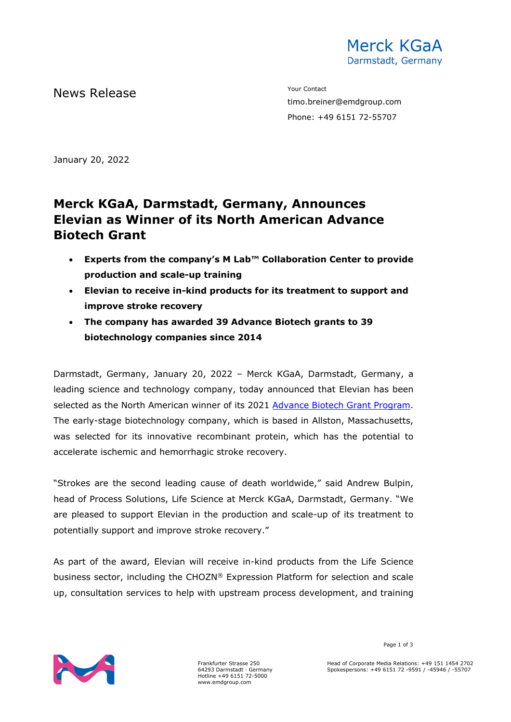

News Release The Contact Terms of the Mean of the Mean of the Vour Contact

timo.breiner@emdgroup.com Phone: +49 6151 72-55707

January 20, 2022

# **Merck KGaA, Darmstadt, Germany, Announces Elevian as Winner of its North American Advance Biotech Grant**

- **Experts from the company's M Lab™ Collaboration Center to provide production and scale-up training**
- **Elevian to receive in-kind products for its treatment to support and improve stroke recovery**
- **The company has awarded 39 Advance Biotech grants to 39 biotechnology companies since 2014**

Darmstadt, Germany, January 20, 2022 – Merck KGaA, Darmstadt, Germany, a leading science and technology company, today announced that Elevian has been selected as the North American winner of its 2021 [Advance Biotech Grant Program.](http://www.emdmillipore.com/emergingbiotech) The early-stage biotechnology company, which is based in Allston, Massachusetts, was selected for its innovative recombinant protein, which has the potential to accelerate ischemic and hemorrhagic stroke recovery.

"Strokes are the second leading cause of death worldwide," said Andrew Bulpin, head of Process Solutions, Life Science at Merck KGaA, Darmstadt, Germany. "We are pleased to support Elevian in the production and scale-up of its treatment to potentially support and improve stroke recovery."

As part of the award, Elevian will receive in-kind products from the Life Science business sector, including the CHOZN® Expression Platform for selection and scale up, consultation services to help with upstream process development, and training



Frankfurter Strasse 250 64293 Darmstadt · Germany Hotline +49 6151 72-5000 www.emdgroup.com

Page 1 of 3

Head of Corporate Media Relations: +49 151 1454 2702 Spokespersons: +49 6151 72 -9591 / -45946 / -55707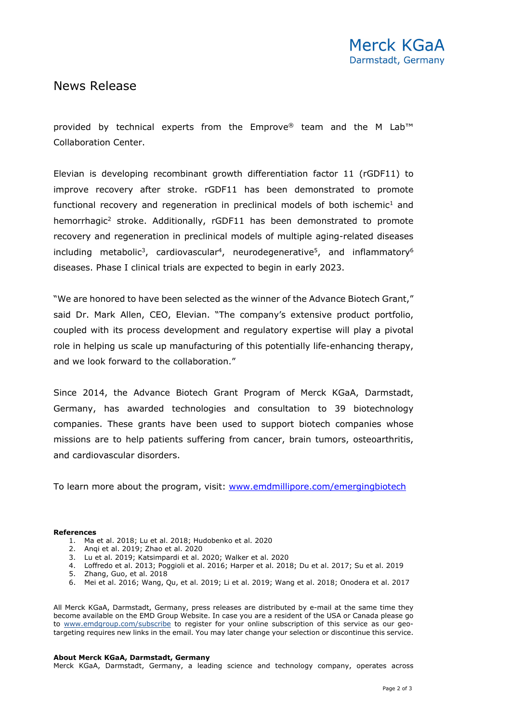### News Release

provided by technical experts from the Emprove® team and the M Lab<sup>™</sup> Collaboration Center.

Elevian is developing recombinant growth differentiation factor 11 (rGDF11) to improve recovery after stroke. rGDF11 has been demonstrated to promote functional recovery and regeneration in preclinical models of both ischemic<sup>1</sup> and hemorrhagic<sup>2</sup> stroke. Additionally, rGDF11 has been demonstrated to promote recovery and regeneration in preclinical models of multiple aging-related diseases including metabolic<sup>3</sup>, cardiovascular<sup>4</sup>, neurodegenerative<sup>5</sup>, and inflammatory<sup>6</sup> diseases. Phase I clinical trials are expected to begin in early 2023.

"We are honored to have been selected as the winner of the Advance Biotech Grant," said Dr. Mark Allen, CEO, Elevian. "The company's extensive product portfolio, coupled with its process development and regulatory expertise will play a pivotal role in helping us scale up manufacturing of this potentially life-enhancing therapy, and we look forward to the collaboration."

Since 2014, the Advance Biotech Grant Program of Merck KGaA, Darmstadt, Germany, has awarded technologies and consultation to 39 biotechnology companies. These grants have been used to support biotech companies whose missions are to help patients suffering from cancer, brain tumors, osteoarthritis, and cardiovascular disorders.

To learn more about the program, visit: [www.emdmillipore.com/emergingbiotech](http://www.emdmillipore.com/emergingbiotech)

#### **References**

- 1. Ma et al. 2018; Lu et al. 2018; Hudobenko et al. 2020
- 2. Anqi et al. 2019; Zhao et al. 2020
- 3. Lu et al. 2019; Katsimpardi et al. 2020; Walker et al. 2020
- 4. Loffredo et al. 2013; Poggioli et al. 2016; Harper et al. 2018; Du et al. 2017; Su et al. 2019
- 5. Zhang, Guo, et al. 2018
- 6. Mei et al. 2016; Wang, Qu, et al. 2019; Li et al. 2019; Wang et al. 2018; Onodera et al. 2017

All Merck KGaA, Darmstadt, Germany, press releases are distributed by e-mail at the same time they become available on the EMD Group Website. In case you are a resident of the USA or Canada please go to [www.emdgroup.com/subscribe](http://www.emdgroup.com/subscribe) to register for your online subscription of this service as our geotargeting requires new links in the email. You may later change your selection or discontinue this service.

#### **About Merck KGaA, Darmstadt, Germany**

Merck KGaA, Darmstadt, Germany, a leading science and technology company, operates across